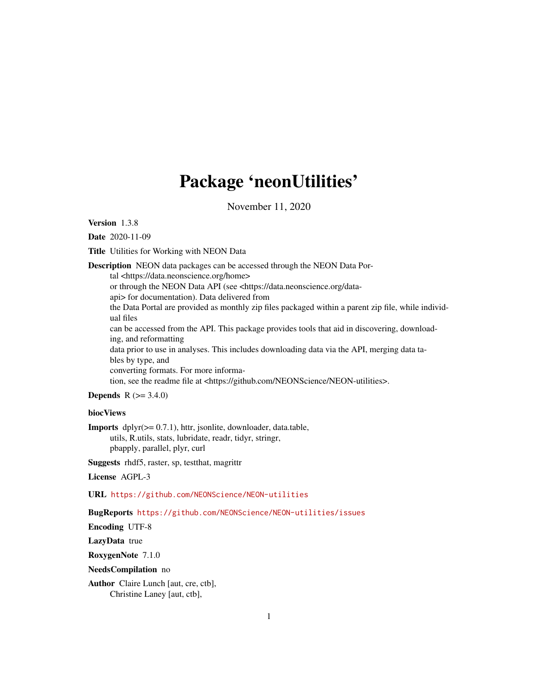# Package 'neonUtilities'

November 11, 2020

Version 1.3.8

Date 2020-11-09

Title Utilities for Working with NEON Data

Description NEON data packages can be accessed through the NEON Data Portal <https://data.neonscience.org/home> or through the NEON Data API (see <https://data.neonscience.org/dataapi> for documentation). Data delivered from the Data Portal are provided as monthly zip files packaged within a parent zip file, while individual files can be accessed from the API. This package provides tools that aid in discovering, downloading, and reformatting data prior to use in analyses. This includes downloading data via the API, merging data tables by type, and converting formats. For more information, see the readme file at <https://github.com/NEONScience/NEON-utilities>.

**Depends** R  $(>= 3.4.0)$ 

#### biocViews

Imports dplyr(>= 0.7.1), httr, jsonlite, downloader, data.table, utils, R.utils, stats, lubridate, readr, tidyr, stringr,

pbapply, parallel, plyr, curl

Suggests rhdf5, raster, sp, testthat, magrittr

License AGPL-3

URL <https://github.com/NEONScience/NEON-utilities>

BugReports <https://github.com/NEONScience/NEON-utilities/issues>

Encoding UTF-8

LazyData true

RoxygenNote 7.1.0

NeedsCompilation no

Author Claire Lunch [aut, cre, ctb], Christine Laney [aut, ctb],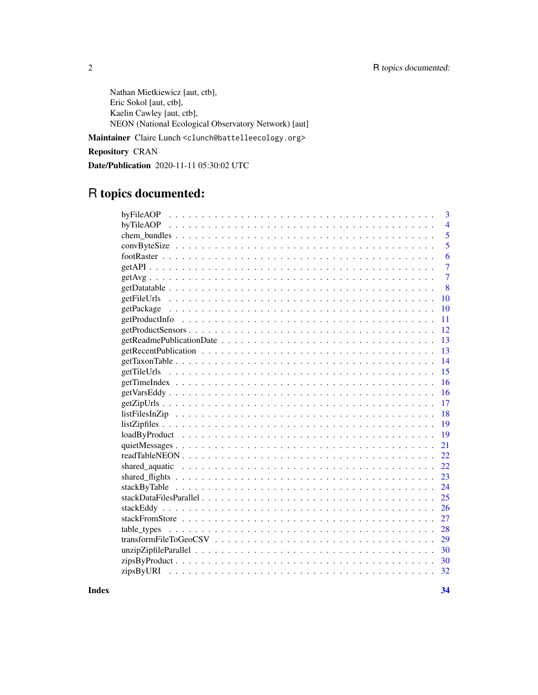Nathan Mietkiewicz [aut, ctb], Eric Sokol [aut, ctb], Kaelin Cawley [aut, ctb], NEON (National Ecological Observatory Network) [aut]

Maintainer Claire Lunch <clunch@battelleecology.org>

Repository CRAN

Date/Publication 2020-11-11 05:30:02 UTC

# R topics documented:

| 3                 |
|-------------------|
| $\overline{4}$    |
| $\overline{5}$    |
| 5                 |
| 6                 |
| $\overline{7}$    |
| $\overline{7}$    |
| 8                 |
| getFileUrls<br>10 |
| 10                |
| 11                |
| 12                |
| 13                |
| 13                |
| 14                |
| 15                |
| 16                |
| 16                |
| 17                |
| 18                |
| 19                |
| 19                |
| 21                |
| 22                |
| 22                |
| 23                |
| 24                |
| 25                |
| 26                |
| 27                |
| 28<br>table_types |
| 29                |
| 30                |
|                   |
| 32                |

**Index** [34](#page-33-0)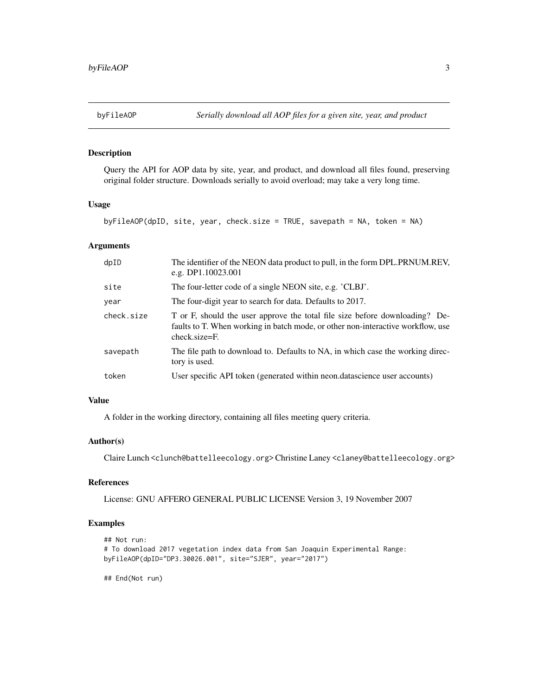<span id="page-2-0"></span>

Query the API for AOP data by site, year, and product, and download all files found, preserving original folder structure. Downloads serially to avoid overload; may take a very long time.

#### Usage

byFileAOP(dpID, site, year, check.size = TRUE, savepath = NA, token = NA)

#### Arguments

| dpID       | The identifier of the NEON data product to pull, in the form DPL.PRNUM.REV,<br>e.g. DP1.10023.001                                                                               |
|------------|---------------------------------------------------------------------------------------------------------------------------------------------------------------------------------|
| site       | The four-letter code of a single NEON site, e.g. 'CLBJ'.                                                                                                                        |
| year       | The four-digit year to search for data. Defaults to 2017.                                                                                                                       |
| check.size | T or F, should the user approve the total file size before downloading? De-<br>faults to T. When working in batch mode, or other non-interactive workflow, use<br>check.size=F. |
| savepath   | The file path to download to. Defaults to NA, in which case the working direc-<br>tory is used.                                                                                 |
| token      | User specific API token (generated within neon.datascience user accounts)                                                                                                       |

#### Value

A folder in the working directory, containing all files meeting query criteria.

#### Author(s)

Claire Lunch <clunch@battelleecology.org> Christine Laney <claney@battelleecology.org>

# References

License: GNU AFFERO GENERAL PUBLIC LICENSE Version 3, 19 November 2007

# Examples

```
## Not run:
# To download 2017 vegetation index data from San Joaquin Experimental Range:
byFileAOP(dpID="DP3.30026.001", site="SJER", year="2017")
```
## End(Not run)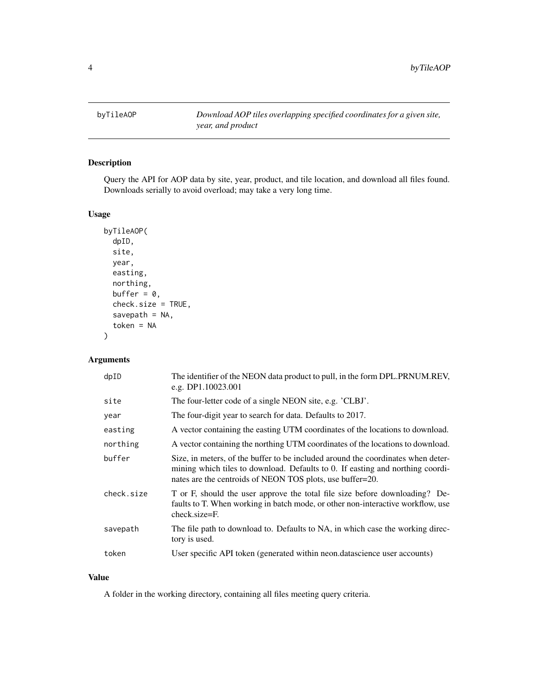<span id="page-3-0"></span>

Query the API for AOP data by site, year, product, and tile location, and download all files found. Downloads serially to avoid overload; may take a very long time.

#### Usage

```
byTileAOP(
  dpID,
  site,
 year,
  easting,
 northing,
 buffer = 0,
  check.size = TRUE,
  savepath = NA,
  token = NA
)
```
# Arguments

| dpID       | The identifier of the NEON data product to pull, in the form DPL.PRNUM.REV,<br>e.g. DP1.10023.001                                                                                                                               |
|------------|---------------------------------------------------------------------------------------------------------------------------------------------------------------------------------------------------------------------------------|
| site       | The four-letter code of a single NEON site, e.g. 'CLBJ'.                                                                                                                                                                        |
| year       | The four-digit year to search for data. Defaults to 2017.                                                                                                                                                                       |
| easting    | A vector containing the easting UTM coordinates of the locations to download.                                                                                                                                                   |
| northing   | A vector containing the northing UTM coordinates of the locations to download.                                                                                                                                                  |
| buffer     | Size, in meters, of the buffer to be included around the coordinates when deter-<br>mining which tiles to download. Defaults to 0. If easting and northing coordi-<br>nates are the centroids of NEON TOS plots, use buffer=20. |
| check.size | T or F, should the user approve the total file size before downloading? De-<br>faults to T. When working in batch mode, or other non-interactive workflow, use<br>check.size=F.                                                 |
| savepath   | The file path to download to. Defaults to NA, in which case the working direc-<br>tory is used.                                                                                                                                 |
| token      | User specific API token (generated within neon.datascience user accounts)                                                                                                                                                       |
|            |                                                                                                                                                                                                                                 |

# Value

A folder in the working directory, containing all files meeting query criteria.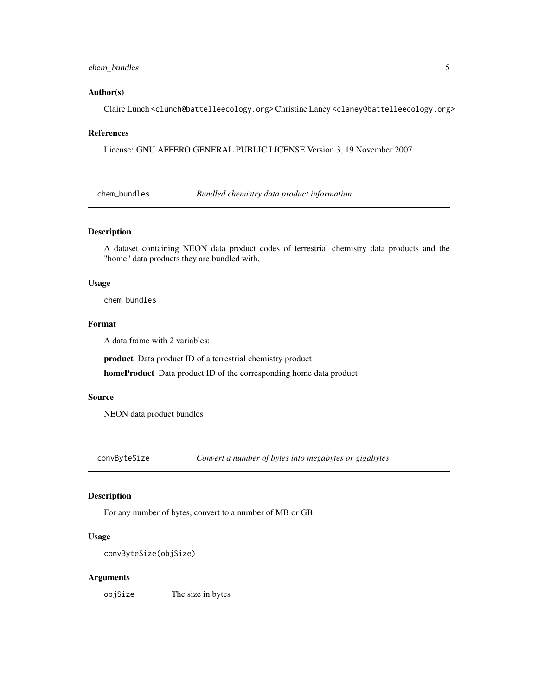# <span id="page-4-0"></span>chem\_bundles 5

#### Author(s)

Claire Lunch <clunch@battelleecology.org> Christine Laney <claney@battelleecology.org>

#### References

License: GNU AFFERO GENERAL PUBLIC LICENSE Version 3, 19 November 2007

chem\_bundles *Bundled chemistry data product information*

# Description

A dataset containing NEON data product codes of terrestrial chemistry data products and the "home" data products they are bundled with.

#### Usage

chem\_bundles

# Format

A data frame with 2 variables:

product Data product ID of a terrestrial chemistry product

homeProduct Data product ID of the corresponding home data product

#### Source

NEON data product bundles

convByteSize *Convert a number of bytes into megabytes or gigabytes*

#### Description

For any number of bytes, convert to a number of MB or GB

#### Usage

```
convByteSize(objSize)
```
#### Arguments

objSize The size in bytes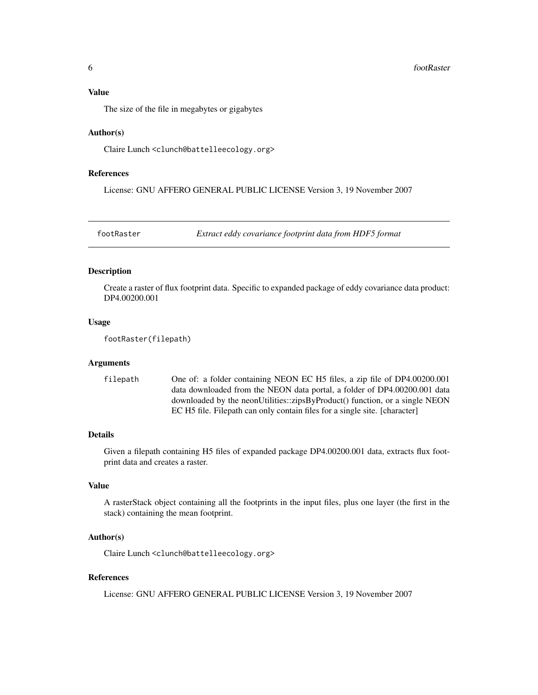# <span id="page-5-0"></span>Value

The size of the file in megabytes or gigabytes

#### Author(s)

Claire Lunch <clunch@battelleecology.org>

# References

License: GNU AFFERO GENERAL PUBLIC LICENSE Version 3, 19 November 2007

footRaster *Extract eddy covariance footprint data from HDF5 format*

#### Description

Create a raster of flux footprint data. Specific to expanded package of eddy covariance data product: DP4.00200.001

#### Usage

footRaster(filepath)

#### Arguments

filepath One of: a folder containing NEON EC H5 files, a zip file of DP4.00200.001 data downloaded from the NEON data portal, a folder of DP4.00200.001 data downloaded by the neonUtilities::zipsByProduct() function, or a single NEON EC H5 file. Filepath can only contain files for a single site. [character]

# Details

Given a filepath containing H5 files of expanded package DP4.00200.001 data, extracts flux footprint data and creates a raster.

#### Value

A rasterStack object containing all the footprints in the input files, plus one layer (the first in the stack) containing the mean footprint.

#### Author(s)

Claire Lunch <clunch@battelleecology.org>

#### References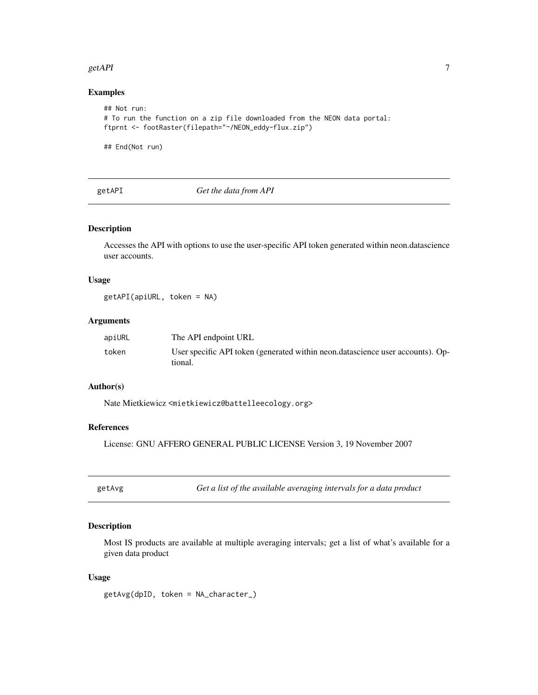#### <span id="page-6-0"></span> $get API$  7

# Examples

```
## Not run:
# To run the function on a zip file downloaded from the NEON data portal:
ftprnt <- footRaster(filepath="~/NEON_eddy-flux.zip")
```
## End(Not run)

|--|

Get the data from API

# Description

Accesses the API with options to use the user-specific API token generated within neon.datascience user accounts.

#### Usage

getAPI(apiURL, token = NA)

# Arguments

| apiURL | The API endpoint URL                                                                      |
|--------|-------------------------------------------------------------------------------------------|
| token  | User specific API token (generated within neon datascience user accounts). Op-<br>tional. |

#### Author(s)

Nate Mietkiewicz <mietkiewicz@battelleecology.org>

# References

License: GNU AFFERO GENERAL PUBLIC LICENSE Version 3, 19 November 2007

| optAy | ٤ |
|-------|---|
|-------|---|

getaara *Get a list of the available averaging intervals for a data product* 

#### Description

Most IS products are available at multiple averaging intervals; get a list of what's available for a given data product

#### Usage

getAvg(dpID, token = NA\_character\_)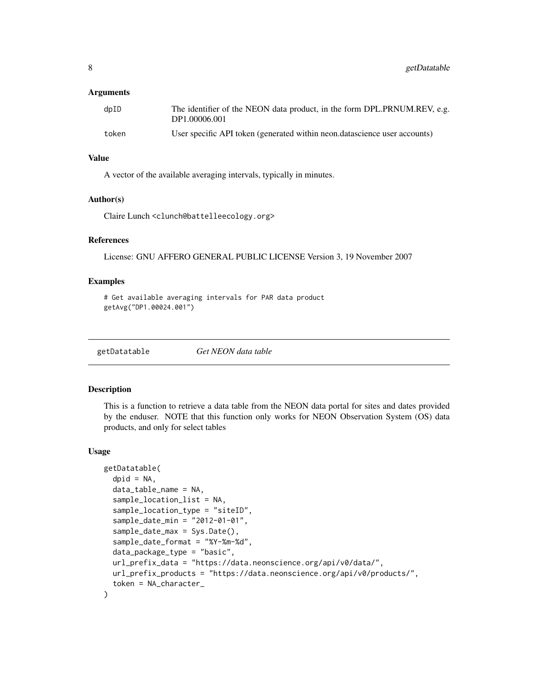#### <span id="page-7-0"></span>**Arguments**

| dpID  | The identifier of the NEON data product, in the form DPL.PRNUM.REV, e.g.<br>DP1.00006.001 |
|-------|-------------------------------------------------------------------------------------------|
| token | User specific API token (generated within neon.datascience user accounts)                 |

# Value

A vector of the available averaging intervals, typically in minutes.

#### Author(s)

Claire Lunch <clunch@battelleecology.org>

#### References

License: GNU AFFERO GENERAL PUBLIC LICENSE Version 3, 19 November 2007

#### Examples

```
# Get available averaging intervals for PAR data product
getAvg("DP1.00024.001")
```
getDatatable *Get NEON data table*

#### Description

This is a function to retrieve a data table from the NEON data portal for sites and dates provided by the enduser. NOTE that this function only works for NEON Observation System (OS) data products, and only for select tables

#### Usage

```
getDatatable(
  dpid = NA,
  data_table_name = NA,
  sample_location_list = NA,
  sample_location_type = "siteID",
  sample_date_min = "2012-01-01",
  sample_date_max = Sys.Date(),
  sample_date_format = "%Y-%m-%d",
  data_package_type = "basic",
  url_prefix_data = "https://data.neonscience.org/api/v0/data/",
  url_prefix_products = "https://data.neonscience.org/api/v0/products/",
  token = NA_character_
)
```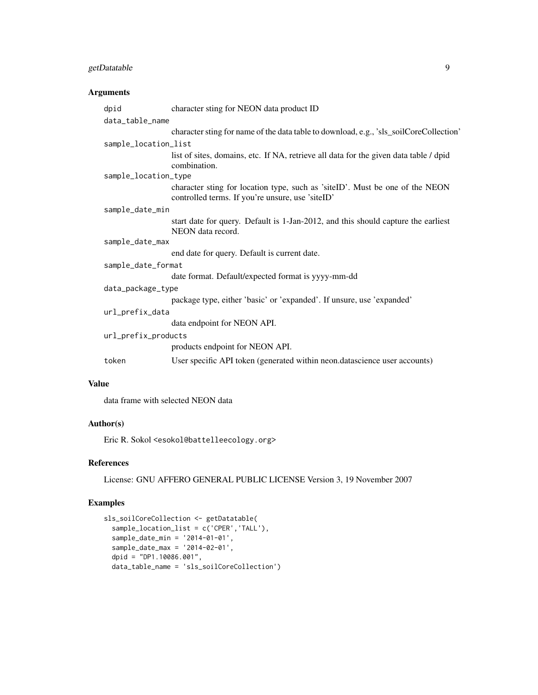# getDatatable 9

# Arguments

|                    | dpid                 | character sting for NEON data product ID                                                                                         |  |
|--------------------|----------------------|----------------------------------------------------------------------------------------------------------------------------------|--|
|                    | data_table_name      |                                                                                                                                  |  |
|                    |                      | character sting for name of the data table to download, e.g., 'sls_soilCoreCollection'                                           |  |
|                    | sample_location_list |                                                                                                                                  |  |
|                    |                      | list of sites, domains, etc. If NA, retrieve all data for the given data table / dpid<br>combination.                            |  |
|                    | sample_location_type |                                                                                                                                  |  |
|                    |                      | character sting for location type, such as 'siteID'. Must be one of the NEON<br>controlled terms. If you're unsure, use 'siteID' |  |
|                    | sample_date_min      |                                                                                                                                  |  |
|                    |                      | start date for query. Default is 1-Jan-2012, and this should capture the earliest<br>NEON data record.                           |  |
|                    | sample_date_max      |                                                                                                                                  |  |
|                    |                      | end date for query. Default is current date.                                                                                     |  |
| sample_date_format |                      |                                                                                                                                  |  |
|                    |                      | date format. Default/expected format is yyyy-mm-dd                                                                               |  |
| data_package_type  |                      |                                                                                                                                  |  |
|                    |                      | package type, either 'basic' or 'expanded'. If unsure, use 'expanded'                                                            |  |
| url_prefix_data    |                      |                                                                                                                                  |  |
|                    |                      | data endpoint for NEON API.                                                                                                      |  |
|                    | url_prefix_products  |                                                                                                                                  |  |
|                    |                      | products endpoint for NEON API.                                                                                                  |  |
|                    | token                | User specific API token (generated within neon.datascience user accounts)                                                        |  |
|                    |                      |                                                                                                                                  |  |

# Value

data frame with selected NEON data

#### Author(s)

Eric R. Sokol <esokol@battelleecology.org>

#### References

License: GNU AFFERO GENERAL PUBLIC LICENSE Version 3, 19 November 2007

# Examples

```
sls_soilCoreCollection <- getDatatable(
  sample_location_list = c('CPER','TALL'),
  sample_date_min = '2014-01-01',
  sample_date_max = '2014-02-01',
  dpid = "DP1.10086.001",
  data_table_name = 'sls_soilCoreCollection')
```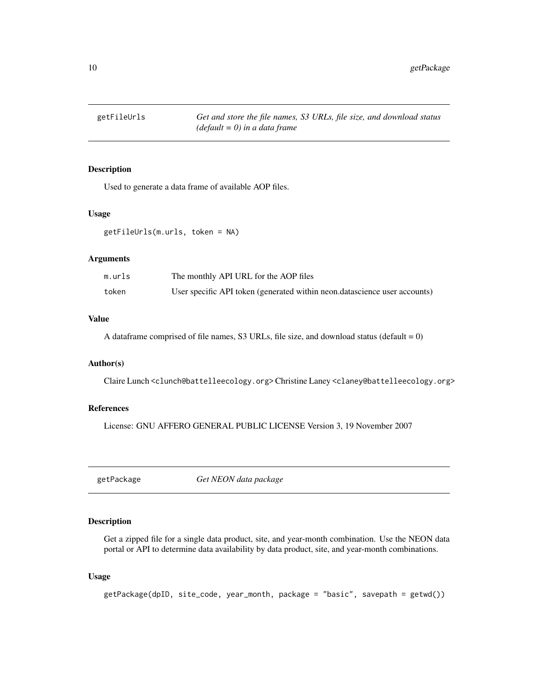<span id="page-9-0"></span>

Used to generate a data frame of available AOP files.

#### Usage

getFileUrls(m.urls, token = NA)

#### **Arguments**

| m.urls | The monthly API URL for the AOP files                                     |
|--------|---------------------------------------------------------------------------|
| token  | User specific API token (generated within neon.datascience user accounts) |

# Value

A dataframe comprised of file names, S3 URLs, file size, and download status (default  $= 0$ )

#### Author(s)

Claire Lunch <clunch@battelleecology.org> Christine Laney <claney@battelleecology.org>

# References

License: GNU AFFERO GENERAL PUBLIC LICENSE Version 3, 19 November 2007

getPackage *Get NEON data package*

# Description

Get a zipped file for a single data product, site, and year-month combination. Use the NEON data portal or API to determine data availability by data product, site, and year-month combinations.

#### Usage

```
getPackage(dpID, site_code, year_month, package = "basic", savepath = getwd())
```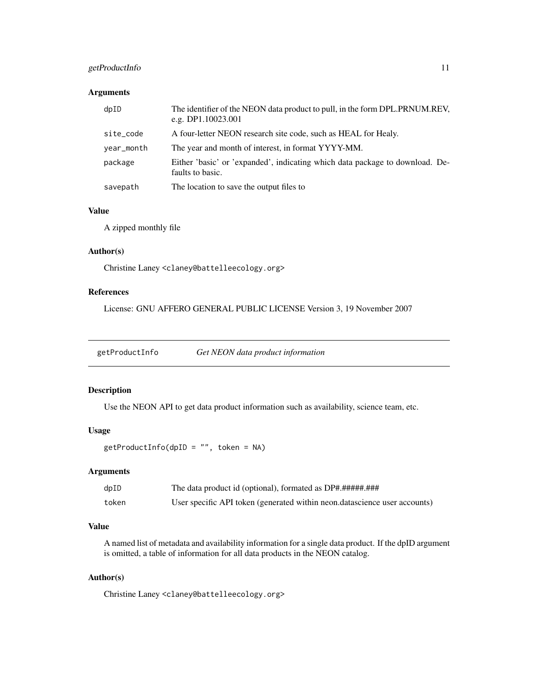# <span id="page-10-0"></span>getProductInfo 11

# Arguments

| dpID       | The identifier of the NEON data product to pull, in the form DPL.PRNUM.REV,<br>e.g. DP1.10023.001 |
|------------|---------------------------------------------------------------------------------------------------|
| site_code  | A four-letter NEON research site code, such as HEAL for Healy.                                    |
| year_month | The year and month of interest, in format YYYY-MM.                                                |
| package    | Either 'basic' or 'expanded', indicating which data package to download. De-<br>faults to basic.  |
| savepath   | The location to save the output files to                                                          |

#### Value

A zipped monthly file

# Author(s)

Christine Laney <claney@battelleecology.org>

#### References

License: GNU AFFERO GENERAL PUBLIC LICENSE Version 3, 19 November 2007

getProductInfo *Get NEON data product information*

# Description

Use the NEON API to get data product information such as availability, science team, etc.

# Usage

```
getProductInfo(dpID = "", token = NA)
```
#### Arguments

| dpID  |                                                                           |
|-------|---------------------------------------------------------------------------|
| token | User specific API token (generated within neon.datascience user accounts) |

# Value

A named list of metadata and availability information for a single data product. If the dpID argument is omitted, a table of information for all data products in the NEON catalog.

# Author(s)

Christine Laney <claney@battelleecology.org>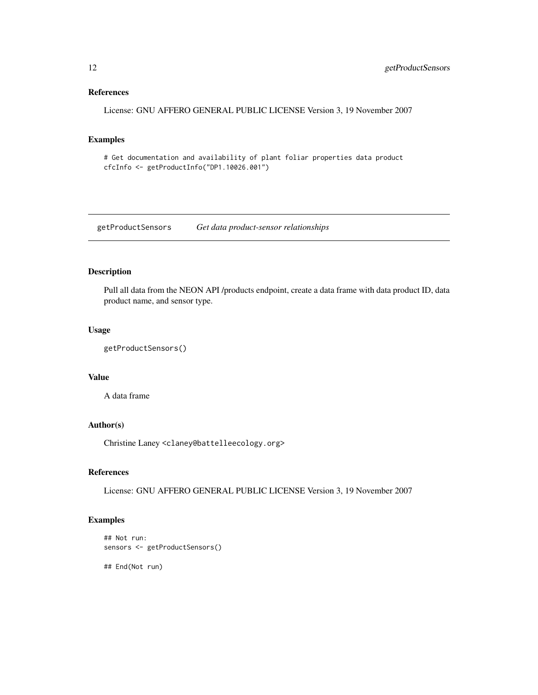# <span id="page-11-0"></span>References

License: GNU AFFERO GENERAL PUBLIC LICENSE Version 3, 19 November 2007

# Examples

# Get documentation and availability of plant foliar properties data product cfcInfo <- getProductInfo("DP1.10026.001")

getProductSensors *Get data product-sensor relationships*

# Description

Pull all data from the NEON API /products endpoint, create a data frame with data product ID, data product name, and sensor type.

#### Usage

```
getProductSensors()
```
#### Value

A data frame

# Author(s)

Christine Laney <claney@battelleecology.org>

# References

License: GNU AFFERO GENERAL PUBLIC LICENSE Version 3, 19 November 2007

# Examples

```
## Not run:
sensors <- getProductSensors()
```
## End(Not run)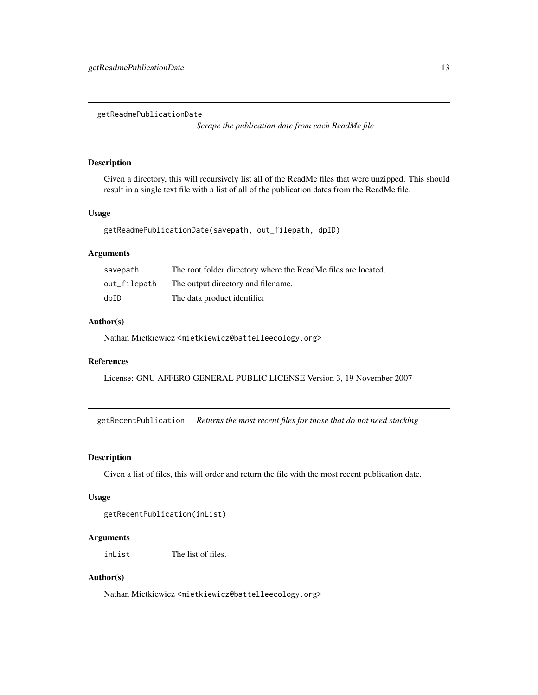<span id="page-12-0"></span>getReadmePublicationDate

*Scrape the publication date from each ReadMe file*

#### Description

Given a directory, this will recursively list all of the ReadMe files that were unzipped. This should result in a single text file with a list of all of the publication dates from the ReadMe file.

# Usage

getReadmePublicationDate(savepath, out\_filepath, dpID)

# Arguments

| savepath     | The root folder directory where the ReadMe files are located. |
|--------------|---------------------------------------------------------------|
| out_filepath | The output directory and filename.                            |
| dpID         | The data product identifier                                   |

#### Author(s)

Nathan Mietkiewicz <mietkiewicz@battelleecology.org>

# References

License: GNU AFFERO GENERAL PUBLIC LICENSE Version 3, 19 November 2007

getRecentPublication *Returns the most recent files for those that do not need stacking*

#### Description

Given a list of files, this will order and return the file with the most recent publication date.

#### Usage

```
getRecentPublication(inList)
```
# Arguments

inList The list of files.

#### Author(s)

Nathan Mietkiewicz <mietkiewicz@battelleecology.org>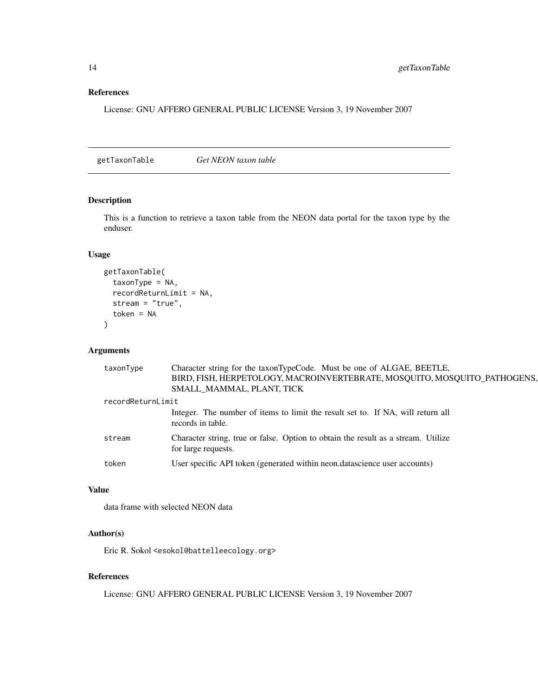#### <span id="page-13-0"></span>References

License: GNU AFFERO GENERAL PUBLIC LICENSE Version 3, 19 November 2007

getTaxonTable *Get NEON taxon table*

# Description

This is a function to retrieve a taxon table from the NEON data portal for the taxon type by the enduser.

#### Usage

```
getTaxonTable(
  taxonType = NA,
  recordReturnLimit = NA,
  stream = "true",
  token = NA
\lambda
```
# Arguments

| taxonType         | Character string for the taxonTypeCode. Must be one of ALGAE, BEETLE,                                    |
|-------------------|----------------------------------------------------------------------------------------------------------|
|                   | BIRD, FISH, HERPETOLOGY, MACROINVERTEBRATE, MOSQUITO, MOSQUITO_PATHOGENS,                                |
|                   | SMALL MAMMAL, PLANT, TICK                                                                                |
| recordReturnLimit |                                                                                                          |
|                   | Integer. The number of items to limit the result set to. If NA, will return all<br>records in table.     |
| stream            | Character string, true or false. Option to obtain the result as a stream. Utilize<br>for large requests. |
| token             | User specific API token (generated within neon.datascience user accounts)                                |

# Value

data frame with selected NEON data

# Author(s)

Eric R. Sokol <esokol@battelleecology.org>

#### References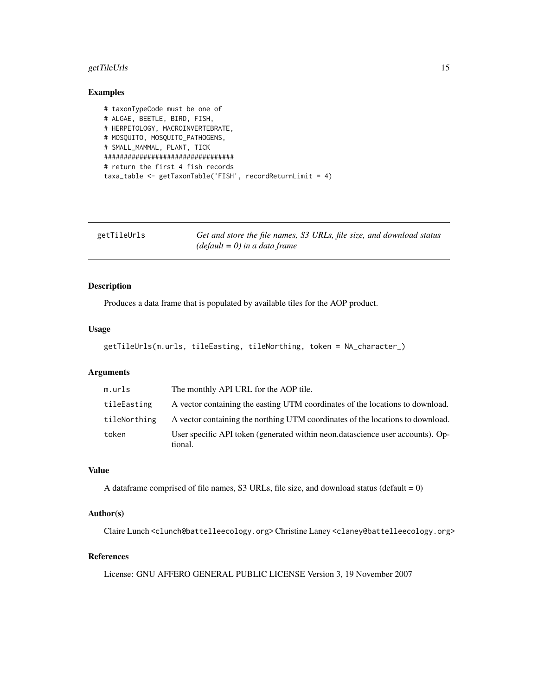# <span id="page-14-0"></span>getTileUrls 15

# Examples

```
# taxonTypeCode must be one of
# ALGAE, BEETLE, BIRD, FISH,
# HERPETOLOGY, MACROINVERTEBRATE,
# MOSQUITO, MOSQUITO_PATHOGENS,
# SMALL_MAMMAL, PLANT, TICK
#################################
# return the first 4 fish records
taxa_table <- getTaxonTable('FISH', recordReturnLimit = 4)
```

| getTileUrls | Get and store the file names, S3 URLs, file size, and download status |
|-------------|-----------------------------------------------------------------------|
|             | $(default = 0)$ in a data frame                                       |

# Description

Produces a data frame that is populated by available tiles for the AOP product.

#### Usage

```
getTileUrls(m.urls, tileEasting, tileNorthing, token = NA_character_)
```
# Arguments

| m.urls       | The monthly API URL for the AOP tile.                                                     |
|--------------|-------------------------------------------------------------------------------------------|
| tileEasting  | A vector containing the easting UTM coordinates of the locations to download.             |
| tileNorthing | A vector containing the northing UTM coordinates of the locations to download.            |
| token        | User specific API token (generated within neon.datascience user accounts). Op-<br>tional. |

#### Value

A dataframe comprised of file names, S3 URLs, file size, and download status (default  $= 0$ )

#### Author(s)

Claire Lunch <clunch@battelleecology.org> Christine Laney <claney@battelleecology.org>

#### References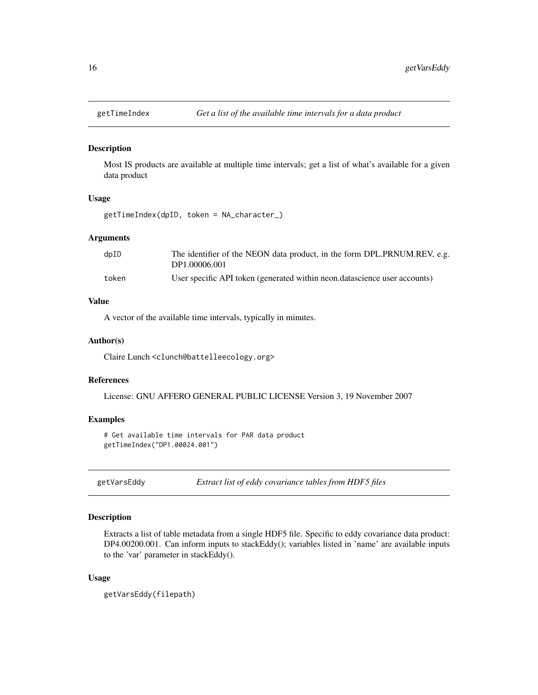<span id="page-15-0"></span>

Most IS products are available at multiple time intervals; get a list of what's available for a given data product

#### Usage

getTimeIndex(dpID, token = NA\_character\_)

#### Arguments

| $d$ p $ID$ | The identifier of the NEON data product, in the form DPL.PRNUM.REV, e.g.  |
|------------|---------------------------------------------------------------------------|
|            | DP1.00006.001                                                             |
| token      | User specific API token (generated within neon.datascience user accounts) |

#### Value

A vector of the available time intervals, typically in minutes.

#### Author(s)

Claire Lunch <clunch@battelleecology.org>

#### References

License: GNU AFFERO GENERAL PUBLIC LICENSE Version 3, 19 November 2007

#### Examples

# Get available time intervals for PAR data product getTimeIndex("DP1.00024.001")

getVarsEddy *Extract list of eddy covariance tables from HDF5 files*

#### Description

Extracts a list of table metadata from a single HDF5 file. Specific to eddy covariance data product: DP4.00200.001. Can inform inputs to stackEddy(); variables listed in 'name' are available inputs to the 'var' parameter in stackEddy().

#### Usage

getVarsEddy(filepath)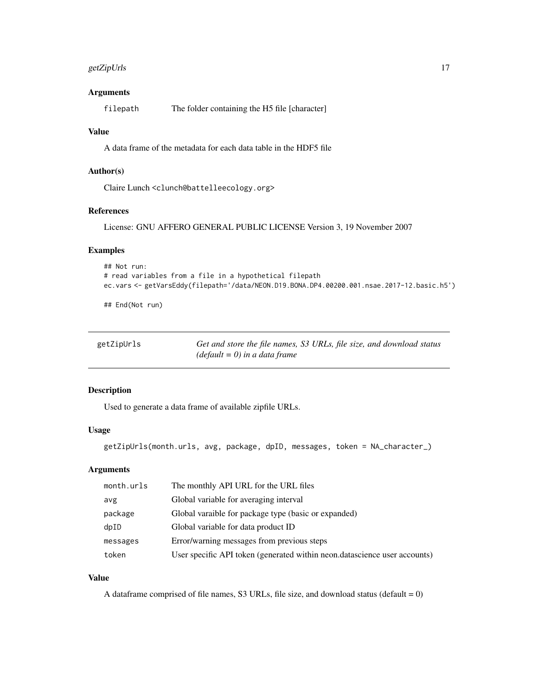# <span id="page-16-0"></span>getZipUrls 17

# Arguments

filepath The folder containing the H5 file [character]

#### Value

A data frame of the metadata for each data table in the HDF5 file

#### Author(s)

Claire Lunch <clunch@battelleecology.org>

#### References

License: GNU AFFERO GENERAL PUBLIC LICENSE Version 3, 19 November 2007

# Examples

```
## Not run:
# read variables from a file in a hypothetical filepath
ec.vars <- getVarsEddy(filepath='/data/NEON.D19.BONA.DP4.00200.001.nsae.2017-12.basic.h5')
```
## End(Not run)

| getZipUrls | Get and store the file names, S3 URLs, file size, and download status |
|------------|-----------------------------------------------------------------------|
|            | $(default = 0)$ in a data frame                                       |

# Description

Used to generate a data frame of available zipfile URLs.

# Usage

```
getZipUrls(month.urls, avg, package, dpID, messages, token = NA_character_)
```
# Arguments

| month.urls | The monthly API URL for the URL files                                     |
|------------|---------------------------------------------------------------------------|
| avg        | Global variable for averaging interval                                    |
| package    | Global varaible for package type (basic or expanded)                      |
| dpID       | Global variable for data product ID                                       |
| messages   | Error/warning messages from previous steps                                |
| token      | User specific API token (generated within neon.datascience user accounts) |

# Value

A dataframe comprised of file names, S3 URLs, file size, and download status (default =  $0$ )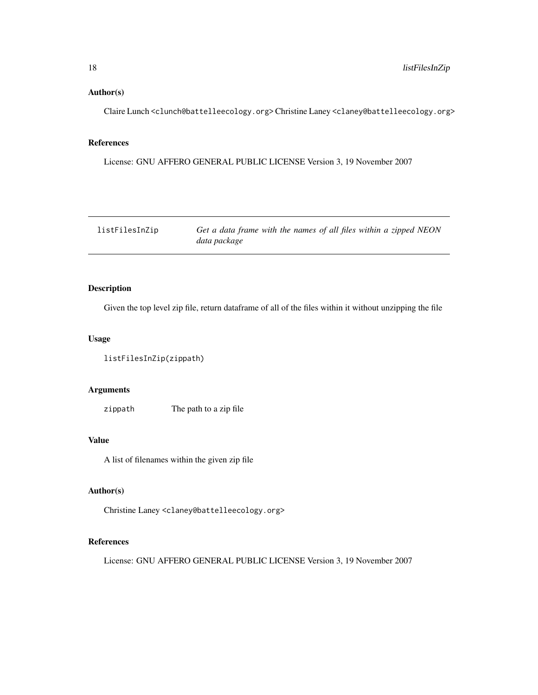#### <span id="page-17-0"></span>Author(s)

Claire Lunch <clunch@battelleecology.org> Christine Laney <claney@battelleecology.org>

#### References

License: GNU AFFERO GENERAL PUBLIC LICENSE Version 3, 19 November 2007

listFilesInZip *Get a data frame with the names of all files within a zipped NEON data package*

# Description

Given the top level zip file, return dataframe of all of the files within it without unzipping the file

#### Usage

```
listFilesInZip(zippath)
```
# Arguments

zippath The path to a zip file

#### Value

A list of filenames within the given zip file

# Author(s)

Christine Laney <claney@battelleecology.org>

# References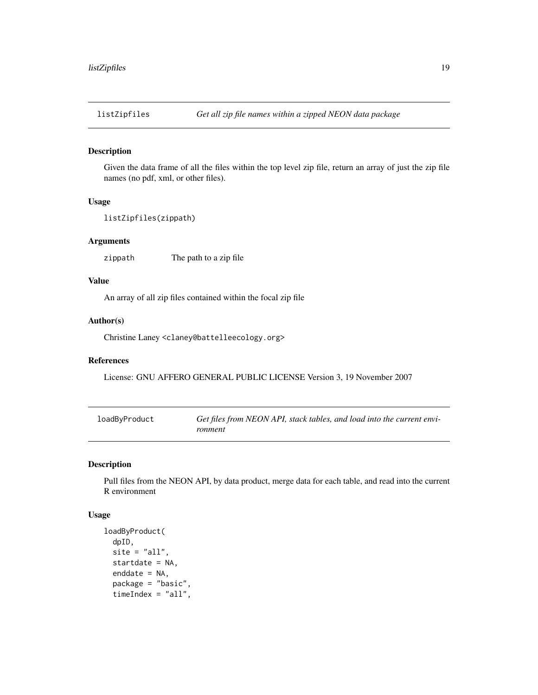<span id="page-18-0"></span>

Given the data frame of all the files within the top level zip file, return an array of just the zip file names (no pdf, xml, or other files).

#### Usage

```
listZipfiles(zippath)
```
# Arguments

zippath The path to a zip file

# Value

An array of all zip files contained within the focal zip file

#### Author(s)

Christine Laney <claney@battelleecology.org>

# References

License: GNU AFFERO GENERAL PUBLIC LICENSE Version 3, 19 November 2007

| loadByProduct | Get files from NEON API, stack tables, and load into the current envi- |
|---------------|------------------------------------------------------------------------|
|               | ronment                                                                |

#### Description

Pull files from the NEON API, by data product, merge data for each table, and read into the current R environment

#### Usage

```
loadByProduct(
  dpID,
  site = "all",startdate = NA,
  enddate = NA,
  package = "basic",
  timeIndex = "all",
```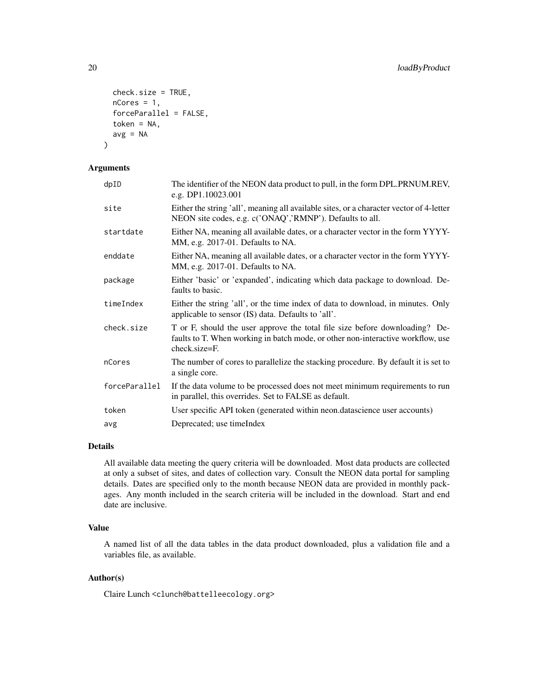```
check.size = TRUE,
 nCores = 1,
  forceParallel = FALSE,
  token = NA,
 avg = NA)
```
#### Arguments

| dpID          | The identifier of the NEON data product to pull, in the form DPL.PRNUM.REV,<br>e.g. DP1.10023.001                                                                               |
|---------------|---------------------------------------------------------------------------------------------------------------------------------------------------------------------------------|
| site          | Either the string 'all', meaning all available sites, or a character vector of 4-letter<br>NEON site codes, e.g. c('ONAQ','RMNP'). Defaults to all.                             |
| startdate     | Either NA, meaning all available dates, or a character vector in the form YYYY-<br>MM, e.g. 2017-01. Defaults to NA.                                                            |
| enddate       | Either NA, meaning all available dates, or a character vector in the form YYYY-<br>MM, e.g. 2017-01. Defaults to NA.                                                            |
| package       | Either 'basic' or 'expanded', indicating which data package to download. De-<br>faults to basic.                                                                                |
| timeIndex     | Either the string 'all', or the time index of data to download, in minutes. Only<br>applicable to sensor (IS) data. Defaults to 'all'.                                          |
| check.size    | T or F, should the user approve the total file size before downloading? De-<br>faults to T. When working in batch mode, or other non-interactive workflow, use<br>check.size=F. |
| nCores        | The number of cores to parallelize the stacking procedure. By default it is set to<br>a single core.                                                                            |
| forceParallel | If the data volume to be processed does not meet minimum requirements to run<br>in parallel, this overrides. Set to FALSE as default.                                           |
| token         | User specific API token (generated within neon.datascience user accounts)                                                                                                       |
| avg           | Deprecated; use timeIndex                                                                                                                                                       |

#### Details

All available data meeting the query criteria will be downloaded. Most data products are collected at only a subset of sites, and dates of collection vary. Consult the NEON data portal for sampling details. Dates are specified only to the month because NEON data are provided in monthly packages. Any month included in the search criteria will be included in the download. Start and end date are inclusive.

#### Value

A named list of all the data tables in the data product downloaded, plus a validation file and a variables file, as available.

#### Author(s)

Claire Lunch <clunch@battelleecology.org>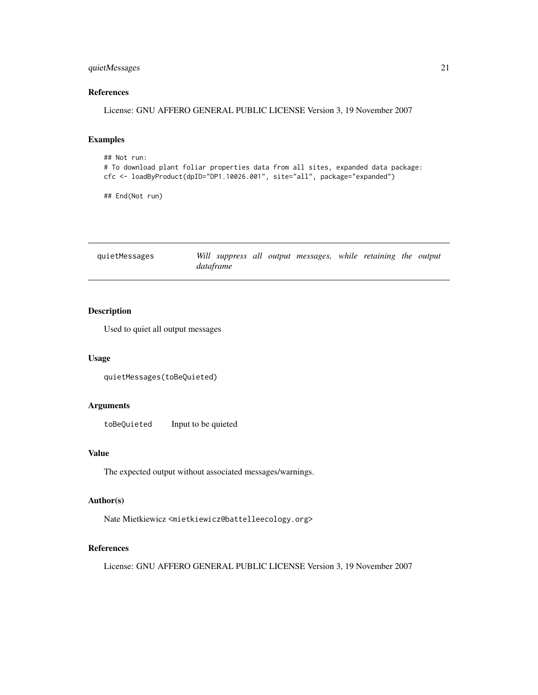# <span id="page-20-0"></span>quietMessages 21

#### References

License: GNU AFFERO GENERAL PUBLIC LICENSE Version 3, 19 November 2007

# Examples

```
## Not run:
# To download plant foliar properties data from all sites, expanded data package:
cfc <- loadByProduct(dpID="DP1.10026.001", site="all", package="expanded")
```
## End(Not run)

quietMessages *Will suppress all output messages, while retaining the output dataframe*

#### Description

Used to quiet all output messages

#### Usage

```
quietMessages(toBeQuieted)
```
# Arguments

toBeQuieted Input to be quieted

#### Value

The expected output without associated messages/warnings.

#### Author(s)

Nate Mietkiewicz <mietkiewicz@battelleecology.org>

# References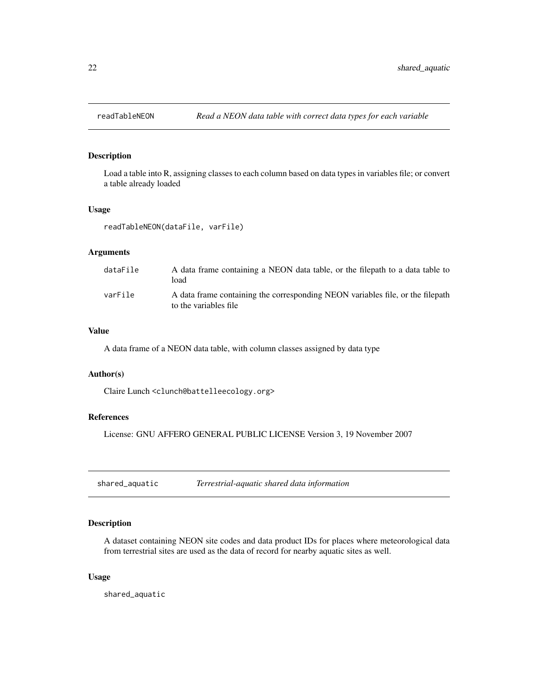<span id="page-21-0"></span>

Load a table into R, assigning classes to each column based on data types in variables file; or convert a table already loaded

#### Usage

readTableNEON(dataFile, varFile)

# Arguments

| dataFile | A data frame containing a NEON data table, or the filepath to a data table to<br>load                   |
|----------|---------------------------------------------------------------------------------------------------------|
| varFile  | A data frame containing the corresponding NEON variables file, or the filepath<br>to the variables file |

#### Value

A data frame of a NEON data table, with column classes assigned by data type

#### Author(s)

Claire Lunch <clunch@battelleecology.org>

# References

License: GNU AFFERO GENERAL PUBLIC LICENSE Version 3, 19 November 2007

shared\_aquatic *Terrestrial-aquatic shared data information*

# Description

A dataset containing NEON site codes and data product IDs for places where meteorological data from terrestrial sites are used as the data of record for nearby aquatic sites as well.

#### Usage

shared\_aquatic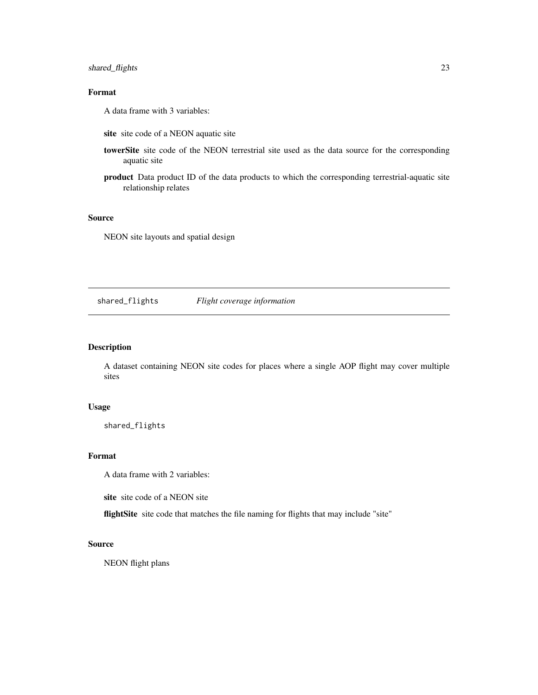# <span id="page-22-0"></span>shared\_flights 23

# Format

A data frame with 3 variables:

- site site code of a NEON aquatic site
- towerSite site code of the NEON terrestrial site used as the data source for the corresponding aquatic site
- product Data product ID of the data products to which the corresponding terrestrial-aquatic site relationship relates

#### Source

NEON site layouts and spatial design

shared\_flights *Flight coverage information*

# Description

A dataset containing NEON site codes for places where a single AOP flight may cover multiple sites

#### Usage

shared\_flights

#### Format

A data frame with 2 variables:

site site code of a NEON site

flightSite site code that matches the file naming for flights that may include "site"

#### Source

NEON flight plans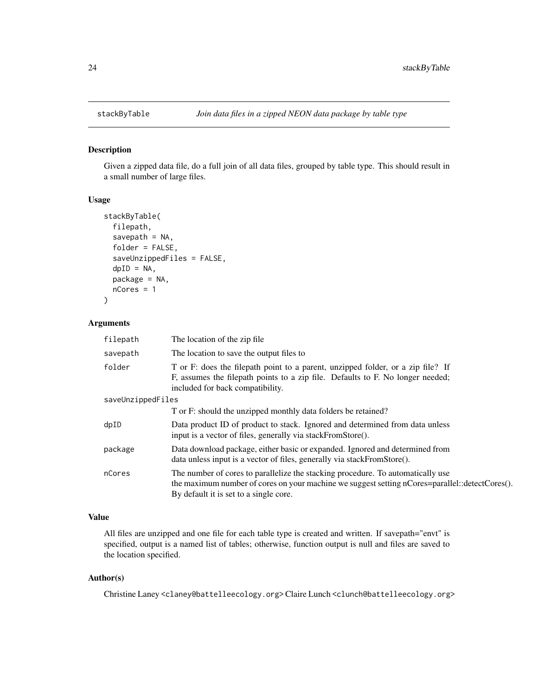<span id="page-23-0"></span>

Given a zipped data file, do a full join of all data files, grouped by table type. This should result in a small number of large files.

#### Usage

```
stackByTable(
  filepath,
  savepath = NA,
  folder = FALSE,
  saveUnzippedFiles = FALSE,
  dpID = NA,
  package = NA,
  nCores = 1
\mathcal{E}
```
# Arguments

| filepath          | The location of the zip file.                                                                                                                                                                                               |  |
|-------------------|-----------------------------------------------------------------------------------------------------------------------------------------------------------------------------------------------------------------------------|--|
| savepath          | The location to save the output files to                                                                                                                                                                                    |  |
| folder            | T or F: does the filepath point to a parent, unzipped folder, or a zip file? If<br>F, assumes the filepath points to a zip file. Defaults to F. No longer needed;<br>included for back compatibility.                       |  |
| saveUnzippedFiles |                                                                                                                                                                                                                             |  |
|                   | T or F: should the unzipped monthly data folders be retained?                                                                                                                                                               |  |
| dpID              | Data product ID of product to stack. Ignored and determined from data unless<br>input is a vector of files, generally via stackFromStore().                                                                                 |  |
| package           | Data download package, either basic or expanded. Ignored and determined from<br>data unless input is a vector of files, generally via stackFromStore().                                                                     |  |
| nCores            | The number of cores to parallelize the stacking procedure. To automatically use<br>the maximum number of cores on your machine we suggest setting nCores=parallel::detectCores().<br>By default it is set to a single core. |  |

# Value

All files are unzipped and one file for each table type is created and written. If savepath="envt" is specified, output is a named list of tables; otherwise, function output is null and files are saved to the location specified.

#### Author(s)

Christine Laney <claney@battelleecology.org> Claire Lunch <clunch@battelleecology.org>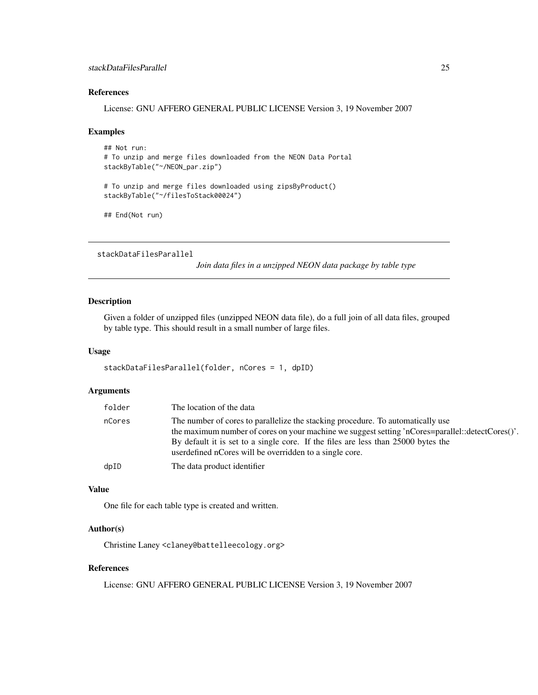# <span id="page-24-0"></span>References

License: GNU AFFERO GENERAL PUBLIC LICENSE Version 3, 19 November 2007

#### Examples

```
## Not run:
# To unzip and merge files downloaded from the NEON Data Portal
stackByTable("~/NEON_par.zip")
# To unzip and merge files downloaded using zipsByProduct()
stackByTable("~/filesToStack00024")
```

```
## End(Not run)
```
stackDataFilesParallel

*Join data files in a unzipped NEON data package by table type*

#### Description

Given a folder of unzipped files (unzipped NEON data file), do a full join of all data files, grouped by table type. This should result in a small number of large files.

#### Usage

```
stackDataFilesParallel(folder, nCores = 1, dpID)
```
# Arguments

| folder | The location of the data                                                                                                                                                                                                                                                                                                             |
|--------|--------------------------------------------------------------------------------------------------------------------------------------------------------------------------------------------------------------------------------------------------------------------------------------------------------------------------------------|
| nCores | The number of cores to parallelize the stacking procedure. To automatically use<br>the maximum number of cores on your machine we suggest setting 'nCores=parallel::detectCores()'.<br>By default it is set to a single core. If the files are less than 25000 bytes the<br>user defined nCores will be overridden to a single core. |
| dpID   | The data product identifier                                                                                                                                                                                                                                                                                                          |

#### Value

One file for each table type is created and written.

#### Author(s)

Christine Laney <claney@battelleecology.org>

#### References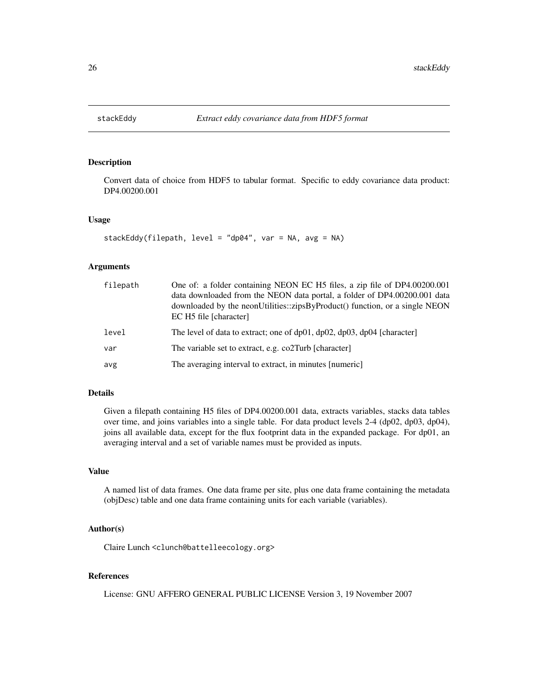<span id="page-25-0"></span>

Convert data of choice from HDF5 to tabular format. Specific to eddy covariance data product: DP4.00200.001

#### Usage

```
stackEddy(filepath, level = "dp04", var = NA, avg = NA)
```
#### Arguments

| filepath | One of: a folder containing NEON EC H5 files, a zip file of DP4.00200.001<br>data downloaded from the NEON data portal, a folder of DP4.00200.001 data<br>downloaded by the neonUtilities::zipsByProduct() function, or a single NEON<br>EC H <sub>5</sub> file [character] |
|----------|-----------------------------------------------------------------------------------------------------------------------------------------------------------------------------------------------------------------------------------------------------------------------------|
| level    | The level of data to extract; one of $dp01$ , $dp02$ , $dp03$ , $dp04$ [character]                                                                                                                                                                                          |
| var      | The variable set to extract, e.g. co2Turb [character]                                                                                                                                                                                                                       |
| avg      | The averaging interval to extract, in minutes [numeric]                                                                                                                                                                                                                     |

#### Details

Given a filepath containing H5 files of DP4.00200.001 data, extracts variables, stacks data tables over time, and joins variables into a single table. For data product levels 2-4 (dp02, dp03, dp04), joins all available data, except for the flux footprint data in the expanded package. For dp01, an averaging interval and a set of variable names must be provided as inputs.

#### Value

A named list of data frames. One data frame per site, plus one data frame containing the metadata (objDesc) table and one data frame containing units for each variable (variables).

#### Author(s)

Claire Lunch <clunch@battelleecology.org>

#### References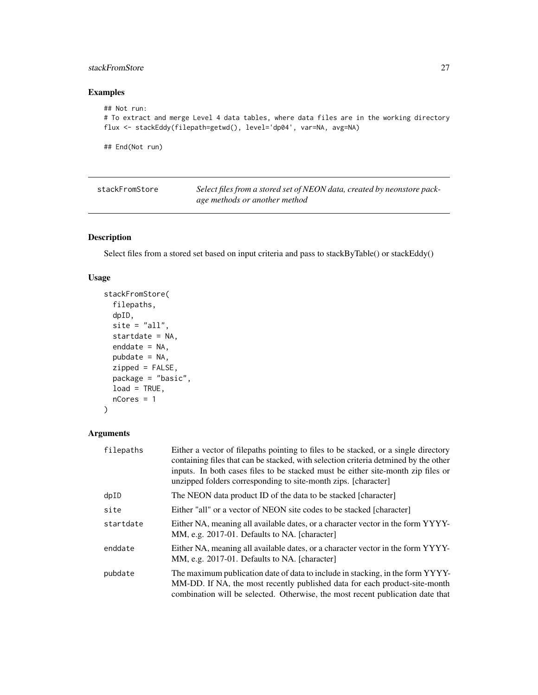# <span id="page-26-0"></span>stackFromStore 27

# Examples

```
## Not run:
# To extract and merge Level 4 data tables, where data files are in the working directory
flux <- stackEddy(filepath=getwd(), level='dp04', var=NA, avg=NA)
```
## End(Not run)

| stackFromStore | Select files from a stored set of NEON data, created by neonstore pack- |
|----------------|-------------------------------------------------------------------------|
|                | age methods or another method                                           |

# Description

Select files from a stored set based on input criteria and pass to stackByTable() or stackEddy()

# Usage

```
stackFromStore(
  filepaths,
 dpID,
  site = "all",startdate = NA,
  enddate = NA,
 pubdate = NA,
 zipped = FALSE,package = "basic",
 load = TRUE,nCores = 1
\mathcal{L}
```
# Arguments

| filepaths | Either a vector of filepaths pointing to files to be stacked, or a single directory<br>containing files that can be stacked, with selection criteria detmined by the other<br>inputs. In both cases files to be stacked must be either site-month zip files or<br>unzipped folders corresponding to site-month zips. [character] |
|-----------|----------------------------------------------------------------------------------------------------------------------------------------------------------------------------------------------------------------------------------------------------------------------------------------------------------------------------------|
| dpID      | The NEON data product ID of the data to be stacked [character]                                                                                                                                                                                                                                                                   |
| site      | Either "all" or a vector of NEON site codes to be stacked [character]                                                                                                                                                                                                                                                            |
| startdate | Either NA, meaning all available dates, or a character vector in the form YYYY-<br>MM, e.g. 2017-01. Defaults to NA. [character]                                                                                                                                                                                                 |
| enddate   | Either NA, meaning all available dates, or a character vector in the form YYYY-<br>MM, e.g. 2017-01. Defaults to NA. [character]                                                                                                                                                                                                 |
| pubdate   | The maximum publication date of data to include in stacking, in the form YYYY-<br>MM-DD. If NA, the most recently published data for each product-site-month<br>combination will be selected. Otherwise, the most recent publication date that                                                                                   |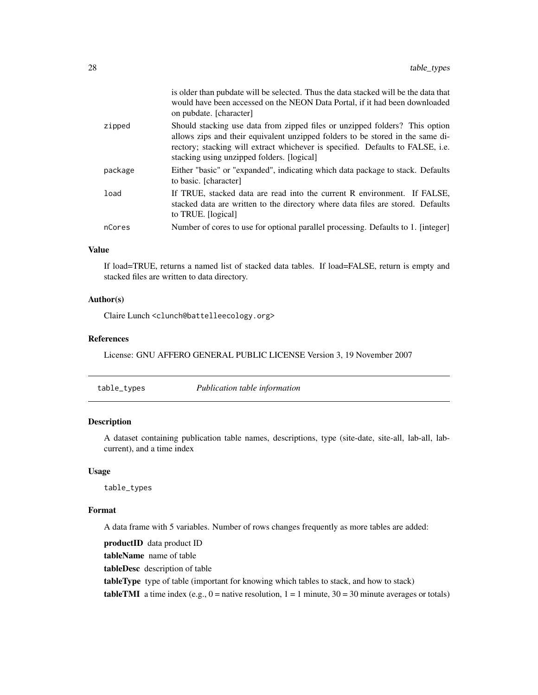<span id="page-27-0"></span>

|         | is older than pubdate will be selected. Thus the data stacked will be the data that<br>would have been accessed on the NEON Data Portal, if it had been downloaded<br>on pubdate. [character]                                                                                                 |
|---------|-----------------------------------------------------------------------------------------------------------------------------------------------------------------------------------------------------------------------------------------------------------------------------------------------|
| zipped  | Should stacking use data from zipped files or unzipped folders? This option<br>allows zips and their equivalent unzipped folders to be stored in the same di-<br>rectory; stacking will extract whichever is specified. Defaults to FALSE, i.e.<br>stacking using unzipped folders. [logical] |
| package | Either "basic" or "expanded", indicating which data package to stack. Defaults<br>to basic. [character]                                                                                                                                                                                       |
| load    | If TRUE, stacked data are read into the current R environment. If FALSE,<br>stacked data are written to the directory where data files are stored. Defaults<br>to TRUE. [logical]                                                                                                             |
| nCores  | Number of cores to use for optional parallel processing. Defaults to 1. [integer]                                                                                                                                                                                                             |

#### Value

If load=TRUE, returns a named list of stacked data tables. If load=FALSE, return is empty and stacked files are written to data directory.

# Author(s)

Claire Lunch <clunch@battelleecology.org>

# References

License: GNU AFFERO GENERAL PUBLIC LICENSE Version 3, 19 November 2007

table\_types *Publication table information*

#### Description

A dataset containing publication table names, descriptions, type (site-date, site-all, lab-all, labcurrent), and a time index

#### Usage

table\_types

#### Format

A data frame with 5 variables. Number of rows changes frequently as more tables are added:

productID data product ID tableName name of table tableDesc description of table tableType type of table (important for knowing which tables to stack, and how to stack) **tableTMI** a time index (e.g.,  $0 =$  native resolution,  $1 = 1$  minute,  $30 = 30$  minute averages or totals)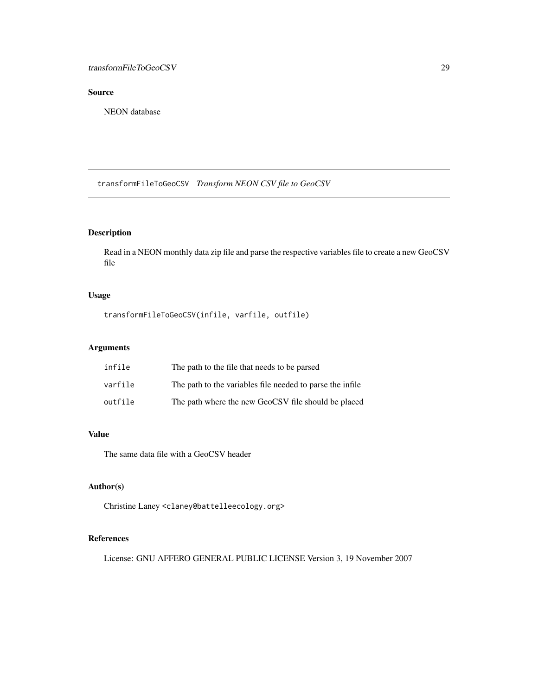# <span id="page-28-0"></span>Source

NEON database

transformFileToGeoCSV *Transform NEON CSV file to GeoCSV*

# Description

Read in a NEON monthly data zip file and parse the respective variables file to create a new GeoCSV file

# Usage

```
transformFileToGeoCSV(infile, varfile, outfile)
```
# Arguments

| infile  | The path to the file that needs to be parsed              |
|---------|-----------------------------------------------------------|
| varfile | The path to the variables file needed to parse the infile |
| outfile | The path where the new GeoCSV file should be placed       |

# Value

The same data file with a GeoCSV header

# Author(s)

Christine Laney <claney@battelleecology.org>

# References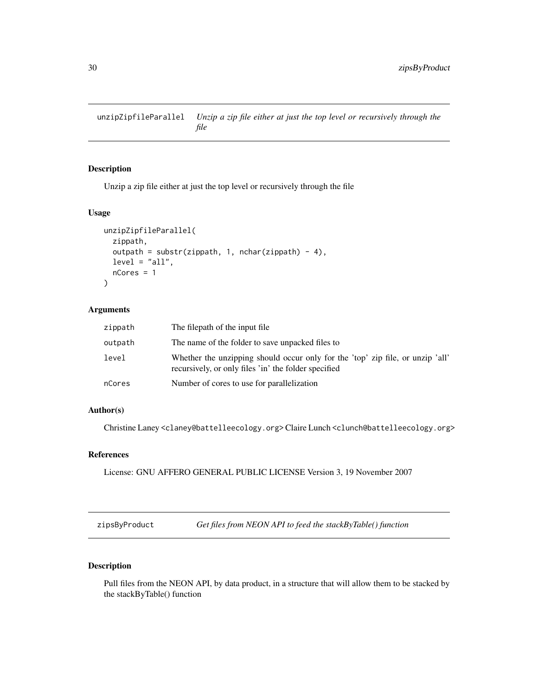<span id="page-29-0"></span>unzipZipfileParallel *Unzip a zip file either at just the top level or recursively through the file*

#### Description

Unzip a zip file either at just the top level or recursively through the file

#### Usage

```
unzipZipfileParallel(
  zippath,
 outpath = substr(zippath, 1, nchar(zippath) - 4),
 level = "all".nCores = 1
)
```
#### Arguments

| zippath | The filepath of the input file.                                                                                                        |
|---------|----------------------------------------------------------------------------------------------------------------------------------------|
| outpath | The name of the folder to save unpacked files to                                                                                       |
| level   | Whether the unzipping should occur only for the 'top' zip file, or unzip 'all'<br>recursively, or only files 'in' the folder specified |
| nCores  | Number of cores to use for parallelization                                                                                             |

# Author(s)

Christine Laney <claney@battelleecology.org> Claire Lunch <clunch@battelleecology.org>

# References

License: GNU AFFERO GENERAL PUBLIC LICENSE Version 3, 19 November 2007

zipsByProduct *Get files from NEON API to feed the stackByTable() function*

# Description

Pull files from the NEON API, by data product, in a structure that will allow them to be stacked by the stackByTable() function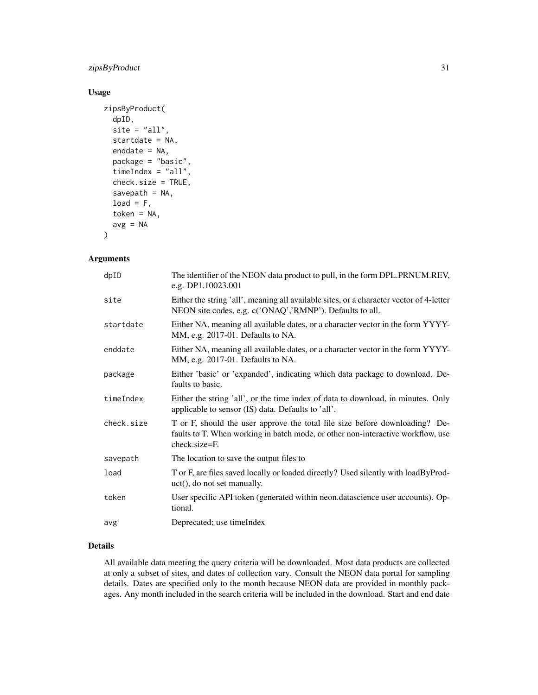# zipsByProduct 31

#### Usage

```
zipsByProduct(
  dpID,
  site = "all",startdate = NA,
  enddate = NA,
 package = "basic",
  timeIndex = "all",
  check.size = TRUE,
  savepath = NA,
  load = F,token = NA,
  avg = NA)
```
#### Arguments

| dpID       | The identifier of the NEON data product to pull, in the form DPL.PRNUM.REV,<br>e.g. DP1.10023.001                                                                                    |
|------------|--------------------------------------------------------------------------------------------------------------------------------------------------------------------------------------|
| site       | Either the string 'all', meaning all available sites, or a character vector of 4-letter<br>NEON site codes, e.g. c('ONAQ','RMNP'). Defaults to all.                                  |
| startdate  | Either NA, meaning all available dates, or a character vector in the form YYYY-<br>MM, e.g. 2017-01. Defaults to NA.                                                                 |
| enddate    | Either NA, meaning all available dates, or a character vector in the form YYYY-<br>MM, e.g. 2017-01. Defaults to NA.                                                                 |
| package    | Either 'basic' or 'expanded', indicating which data package to download. De-<br>faults to basic.                                                                                     |
| timeIndex  | Either the string 'all', or the time index of data to download, in minutes. Only<br>applicable to sensor (IS) data. Defaults to 'all'.                                               |
| check.size | T or F, should the user approve the total file size before downloading? De-<br>faults to T. When working in batch mode, or other non-interactive workflow, use<br>$check.size = F$ . |
| savepath   | The location to save the output files to                                                                                                                                             |
| load       | T or F, are files saved locally or loaded directly? Used silently with loadByProd-<br>$uct()$ , do not set manually.                                                                 |
| token      | User specific API token (generated within neon.datascience user accounts). Op-<br>tional.                                                                                            |
| avg        | Deprecated; use timeIndex                                                                                                                                                            |

# Details

All available data meeting the query criteria will be downloaded. Most data products are collected at only a subset of sites, and dates of collection vary. Consult the NEON data portal for sampling details. Dates are specified only to the month because NEON data are provided in monthly packages. Any month included in the search criteria will be included in the download. Start and end date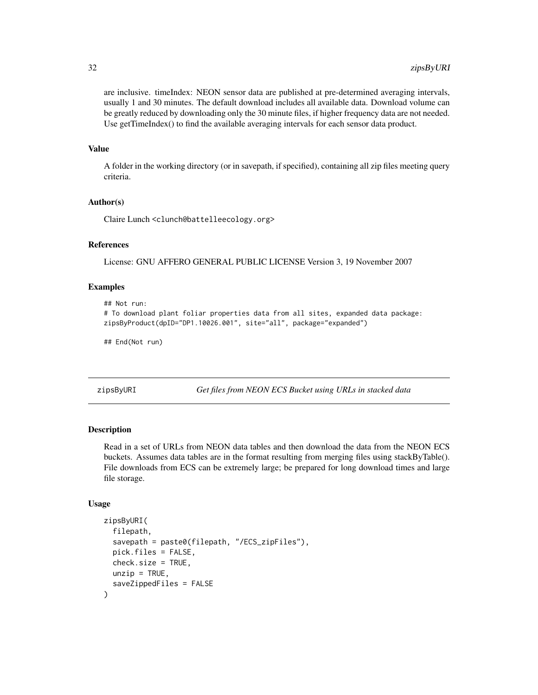<span id="page-31-0"></span>are inclusive. timeIndex: NEON sensor data are published at pre-determined averaging intervals, usually 1 and 30 minutes. The default download includes all available data. Download volume can be greatly reduced by downloading only the 30 minute files, if higher frequency data are not needed. Use getTimeIndex() to find the available averaging intervals for each sensor data product.

# Value

A folder in the working directory (or in savepath, if specified), containing all zip files meeting query criteria.

#### Author(s)

Claire Lunch <clunch@battelleecology.org>

#### References

License: GNU AFFERO GENERAL PUBLIC LICENSE Version 3, 19 November 2007

#### Examples

```
## Not run:
# To download plant foliar properties data from all sites, expanded data package:
zipsByProduct(dpID="DP1.10026.001", site="all", package="expanded")
```
## End(Not run)

zipsByURI *Get files from NEON ECS Bucket using URLs in stacked data*

# **Description**

Read in a set of URLs from NEON data tables and then download the data from the NEON ECS buckets. Assumes data tables are in the format resulting from merging files using stackByTable(). File downloads from ECS can be extremely large; be prepared for long download times and large file storage.

#### Usage

```
zipsByURI(
  filepath,
  savepath = paste0(filepath, "/ECS_zipFiles"),
  pick.files = FALSE,
  check.size = TRUE,
  unzip = TRUE,saveZippedFiles = FALSE
)
```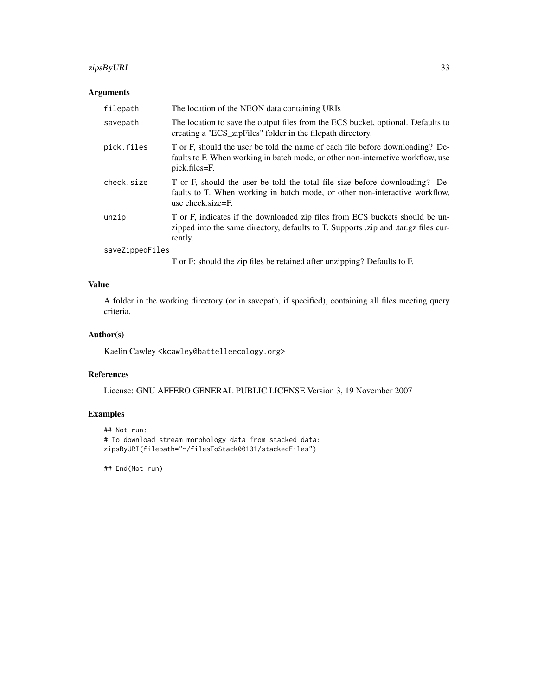# zipsByURI 33

# Arguments

| filepath        | The location of the NEON data containing URIs                                                                                                                                        |
|-----------------|--------------------------------------------------------------------------------------------------------------------------------------------------------------------------------------|
| savepath        | The location to save the output files from the ECS bucket, optional. Defaults to<br>creating a "ECS_zipFiles" folder in the filepath directory.                                      |
| pick.files      | T or F, should the user be told the name of each file before downloading? De-<br>faults to F. When working in batch mode, or other non-interactive workflow, use<br>pick.files=F.    |
| check.size      | T or F, should the user be told the total file size before downloading? De-<br>faults to T. When working in batch mode, or other non-interactive workflow,<br>use check $size = F$ . |
| unzip           | T or F, indicates if the downloaded zip files from ECS buckets should be un-<br>zipped into the same directory, defaults to T. Supports .zip and .tar.gz files cur-<br>rently.       |
| saveZippedFiles |                                                                                                                                                                                      |

T or F: should the zip files be retained after unzipping? Defaults to F.

# Value

A folder in the working directory (or in savepath, if specified), containing all files meeting query criteria.

#### Author(s)

Kaelin Cawley <kcawley@battelleecology.org>

# References

License: GNU AFFERO GENERAL PUBLIC LICENSE Version 3, 19 November 2007

#### Examples

```
## Not run:
# To download stream morphology data from stacked data:
zipsByURI(filepath="~/filesToStack00131/stackedFiles")
```
## End(Not run)